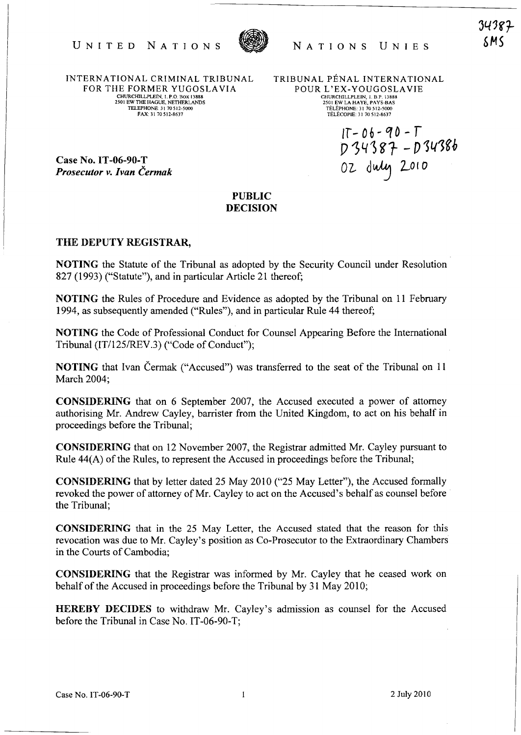



INTERNATIONAL CRIMINAL TRIBUNAL FOR THE FORMER YUGOSLA VIA CHURCIllLLPLElN, I. P .0. BOX 13888 2501 EW THE HAGUE, NETHERLANDS TELEPHONE. 31 70512-5000 FAX: 3170512·8637

TRIBUNAL PÉNAL INTERNATIONAL POUR L'EX-YOUGOSLAVIE CHURCIllLLPLElN, I. B.P. 13888 2501 EW LA HA YE, PAYS-BAS TELEPHONE: 31 70512-5000 TELECOPIE: 31 70512-8637

 $IT - 06 - 90 - T$  $D 34387 - D 34386$ 02 duly 2010

34387 6MS

Case No. IT -06-90-T *Prosecutor v. Ivan Cermak* 

## PUBLIC DECISION

## THE DEPUTY REGISTRAR,

NOTING the Statute of the Tribunal as adopted by the Security Council under Resolution 827 (1993) ("Statute"), and in particular Article 21 thereof;

NOTING the Rules of Procedure and Evidence as adopted by the Tribunal on 11 February 1994, as subsequently amended ("Rules"), and in particular Rule 44 thereof;

NOTING the Code of Professional Conduct for Counsel Appearing Before the International Tribunal (IT/125/REV.3) ("Code of Conduct");

NOTING that Ivan Cermak ("Accused") was transferred to the seat of the Tribunal on 11 March 2004;

CONSIDERING that on 6 September 2007, the Accused executed a power of attorney authorising Mr. Andrew Cayley, barrister from the United Kingdom, to act on his behalf in proceedings before the Tribunal;

CONSIDERING that on 12 November 2007, the Registrar admitted Mr. Cayley pursuant to Rule 44(A) of the Rules, to represent the Accused in proceedings before the Tribunal;

CONSIDERING that by letter dated 25 May 2010 ("25 May Letter"), the Accused formally revoked the power of attorney of Mr. Cayley to act on the Accused's behalf as counsel before the Tribunal;

CONSIDERING that in the 25 May Letter, the Accused stated that the reason for this revocation was due to Mr. Cayley's position as Co-Prosecutor to the Extraordinary Chambers in the Courts of Cambodia;

CONSIDERING that the Registrar was informed by Mr. Cayley that he ceased work on behalf of the Accused in proceedings before the Tribunal by 31 May 2010;

HEREBY DECIDES to withdraw Mr. Cayley's admission as counsel for the Accused before the Tribunal in Case No. IT -06-90-T;